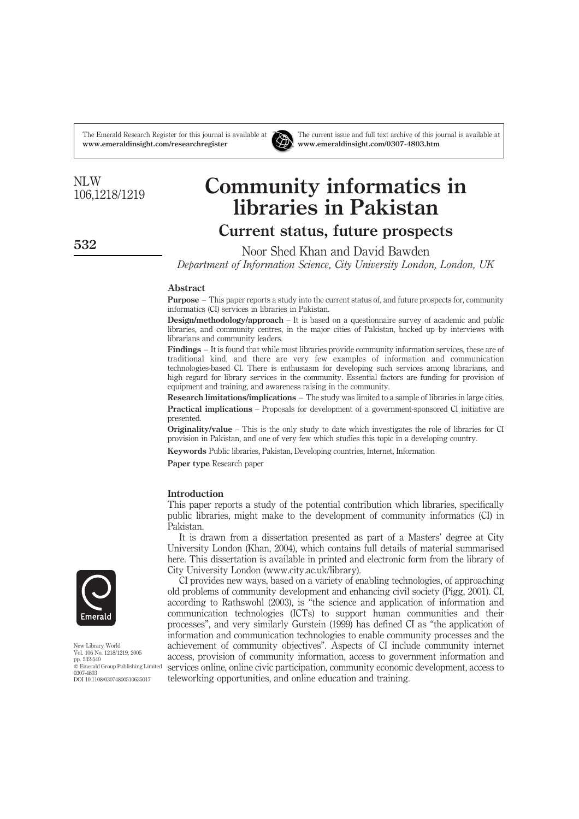The Emerald Research Register for this journal is available at The current issue and full text archive of this journal is available at www.emeraldinsight.com/researchregister www.emeraldinsight.com/0307-4803.htm

## NLW 106,1218/1219

# Community informatics in libraries in Pakistan

## Current status, future prospects

Noor Shed Khan and David Bawden

Department of Information Science, City University London, London, UK

#### Abstract

Purpose – This paper reports a study into the current status of, and future prospects for, community informatics (CI) services in libraries in Pakistan.

Design/methodology/approach – It is based on a questionnaire survey of academic and public libraries, and community centres, in the major cities of Pakistan, backed up by interviews with librarians and community leaders.

Findings – It is found that while most libraries provide community information services, these are of traditional kind, and there are very few examples of information and communication technologies-based CI. There is enthusiasm for developing such services among librarians, and high regard for library services in the community. Essential factors are funding for provision of equipment and training, and awareness raising in the community.

Research limitations/implications – The study was limited to a sample of libraries in large cities. Practical implications – Proposals for development of a government-sponsored CI initiative are presented.

Originality/value – This is the only study to date which investigates the role of libraries for CI provision in Pakistan, and one of very few which studies this topic in a developing country.

Keywords Public libraries, Pakistan, Developing countries, Internet, Information

Paper type Research paper

#### Introduction

This paper reports a study of the potential contribution which libraries, specifically public libraries, might make to the development of community informatics (CI) in Pakistan.

It is drawn from a dissertation presented as part of a Masters' degree at City University London (Khan, 2004), which contains full details of material summarised here. This dissertation is available in printed and electronic form from the library of City University London (www.city.ac.uk/library).

CI provides new ways, based on a variety of enabling technologies, of approaching old problems of community development and enhancing civil society (Pigg, 2001). CI, according to Rathswohl (2003), is "the science and application of information and communication technologies (ICTs) to support human communities and their processes", and very similarly Gurstein (1999) has defined CI as "the application of information and communication technologies to enable community processes and the achievement of community objectives". Aspects of CI include community internet access, provision of community information, access to government information and services online, online civic participation, community economic development, access to teleworking opportunities, and online education and training.



New Library World Vol. 106 No. 1218/1219, 2005 pp. 532-540 q Emerald Group Publishing Limited 0307-4803 DOI 10.1108/03074800510635017

532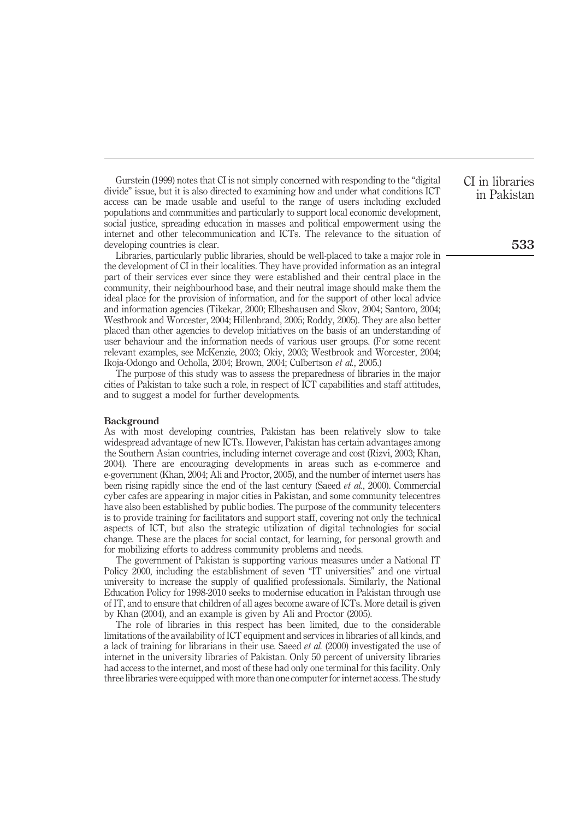Gurstein (1999) notes that CI is not simply concerned with responding to the "digital divide" issue, but it is also directed to examining how and under what conditions ICT access can be made usable and useful to the range of users including excluded populations and communities and particularly to support local economic development, social justice, spreading education in masses and political empowerment using the internet and other telecommunication and ICTs. The relevance to the situation of developing countries is clear.

Libraries, particularly public libraries, should be well-placed to take a major role in the development of CI in their localities. They have provided information as an integral part of their services ever since they were established and their central place in the community, their neighbourhood base, and their neutral image should make them the ideal place for the provision of information, and for the support of other local advice and information agencies (Tikekar, 2000; Elbeshausen and Skov, 2004; Santoro, 2004; Westbrook and Worcester, 2004; Hillenbrand, 2005; Roddy, 2005). They are also better placed than other agencies to develop initiatives on the basis of an understanding of user behaviour and the information needs of various user groups. (For some recent relevant examples, see McKenzie, 2003; Okiy, 2003; Westbrook and Worcester, 2004; Ikoja-Odongo and Ocholla, 2004; Brown, 2004; Culbertson et al., 2005.)

The purpose of this study was to assess the preparedness of libraries in the major cities of Pakistan to take such a role, in respect of ICT capabilities and staff attitudes, and to suggest a model for further developments.

#### Background

As with most developing countries, Pakistan has been relatively slow to take widespread advantage of new ICTs. However, Pakistan has certain advantages among the Southern Asian countries, including internet coverage and cost (Rizvi, 2003; Khan, 2004). There are encouraging developments in areas such as e-commerce and e-government (Khan, 2004; Ali and Proctor, 2005), and the number of internet users has been rising rapidly since the end of the last century (Saeed *et al.*, 2000). Commercial cyber cafes are appearing in major cities in Pakistan, and some community telecentres have also been established by public bodies. The purpose of the community telecenters is to provide training for facilitators and support staff, covering not only the technical aspects of ICT, but also the strategic utilization of digital technologies for social change. These are the places for social contact, for learning, for personal growth and for mobilizing efforts to address community problems and needs.

The government of Pakistan is supporting various measures under a National IT Policy 2000, including the establishment of seven "IT universities" and one virtual university to increase the supply of qualified professionals. Similarly, the National Education Policy for 1998-2010 seeks to modernise education in Pakistan through use of IT, and to ensure that children of all ages become aware of ICTs. More detail is given by Khan (2004), and an example is given by Ali and Proctor (2005).

The role of libraries in this respect has been limited, due to the considerable limitations of the availability of ICT equipment and services in libraries of all kinds, and a lack of training for librarians in their use. Saeed et al. (2000) investigated the use of internet in the university libraries of Pakistan. Only 50 percent of university libraries had access to the internet, and most of these had only one terminal for this facility. Only three libraries were equipped with more than one computer for internet access. The study CI in libraries in Pakistan

533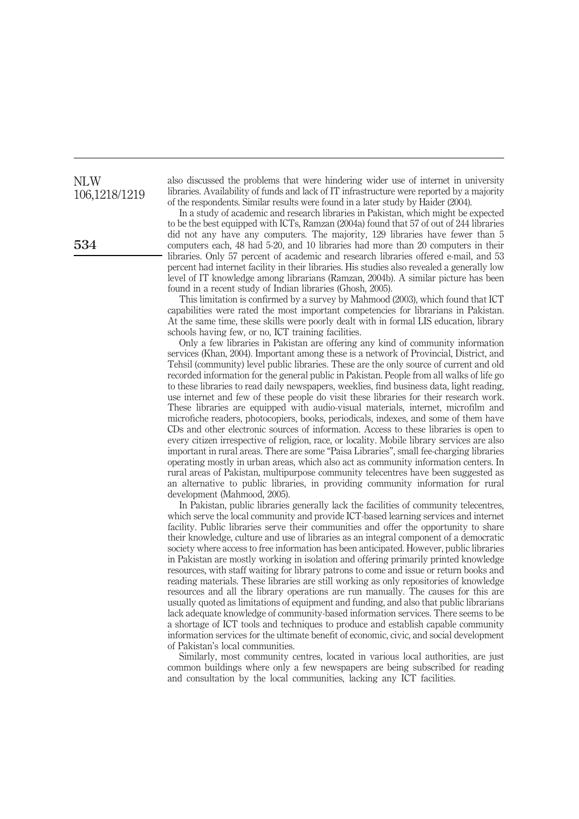## NLW 106,1218/1219

534

also discussed the problems that were hindering wider use of internet in university libraries. Availability of funds and lack of IT infrastructure were reported by a majority of the respondents. Similar results were found in a later study by Haider (2004).

In a study of academic and research libraries in Pakistan, which might be expected to be the best equipped with ICTs, Ramzan (2004a) found that 57 of out of 244 libraries did not any have any computers. The majority, 129 libraries have fewer than 5 computers each, 48 had 5-20, and 10 libraries had more than 20 computers in their libraries. Only 57 percent of academic and research libraries offered e-mail, and 53 percent had internet facility in their libraries. His studies also revealed a generally low level of IT knowledge among librarians (Ramzan, 2004b). A similar picture has been found in a recent study of Indian libraries (Ghosh, 2005).

This limitation is confirmed by a survey by Mahmood (2003), which found that ICT capabilities were rated the most important competencies for librarians in Pakistan. At the same time, these skills were poorly dealt with in formal LIS education, library schools having few, or no, ICT training facilities.

Only a few libraries in Pakistan are offering any kind of community information services (Khan, 2004). Important among these is a network of Provincial, District, and Tehsil (community) level public libraries. These are the only source of current and old recorded information for the general public in Pakistan. People from all walks of life go to these libraries to read daily newspapers, weeklies, find business data, light reading, use internet and few of these people do visit these libraries for their research work. These libraries are equipped with audio-visual materials, internet, microfilm and microfiche readers, photocopiers, books, periodicals, indexes, and some of them have CDs and other electronic sources of information. Access to these libraries is open to every citizen irrespective of religion, race, or locality. Mobile library services are also important in rural areas. There are some "Paisa Libraries", small fee-charging libraries operating mostly in urban areas, which also act as community information centers. In rural areas of Pakistan, multipurpose community telecentres have been suggested as an alternative to public libraries, in providing community information for rural development (Mahmood, 2005).

In Pakistan, public libraries generally lack the facilities of community telecentres, which serve the local community and provide ICT-based learning services and internet facility. Public libraries serve their communities and offer the opportunity to share their knowledge, culture and use of libraries as an integral component of a democratic society where access to free information has been anticipated. However, public libraries in Pakistan are mostly working in isolation and offering primarily printed knowledge resources, with staff waiting for library patrons to come and issue or return books and reading materials. These libraries are still working as only repositories of knowledge resources and all the library operations are run manually. The causes for this are usually quoted as limitations of equipment and funding, and also that public librarians lack adequate knowledge of community-based information services. There seems to be a shortage of ICT tools and techniques to produce and establish capable community information services for the ultimate benefit of economic, civic, and social development of Pakistan's local communities.

Similarly, most community centres, located in various local authorities, are just common buildings where only a few newspapers are being subscribed for reading and consultation by the local communities, lacking any ICT facilities.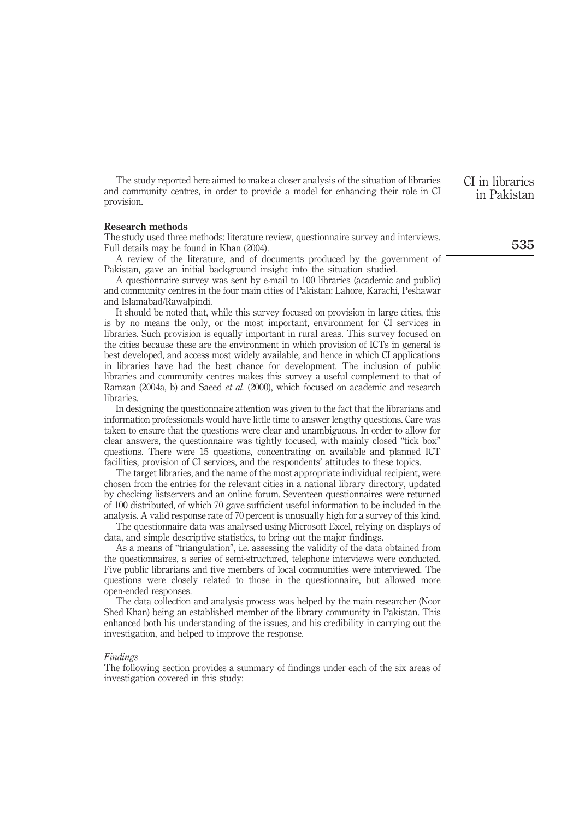The study reported here aimed to make a closer analysis of the situation of libraries and community centres, in order to provide a model for enhancing their role in CI provision.

#### Research methods

The study used three methods: literature review, questionnaire survey and interviews. Full details may be found in Khan (2004).

A review of the literature, and of documents produced by the government of Pakistan, gave an initial background insight into the situation studied.

A questionnaire survey was sent by e-mail to 100 libraries (academic and public) and community centres in the four main cities of Pakistan: Lahore, Karachi, Peshawar and Islamabad/Rawalpindi.

It should be noted that, while this survey focused on provision in large cities, this is by no means the only, or the most important, environment for CI services in libraries. Such provision is equally important in rural areas. This survey focused on the cities because these are the environment in which provision of ICTs in general is best developed, and access most widely available, and hence in which CI applications in libraries have had the best chance for development. The inclusion of public libraries and community centres makes this survey a useful complement to that of Ramzan (2004a, b) and Saeed et al. (2000), which focused on academic and research libraries.

In designing the questionnaire attention was given to the fact that the librarians and information professionals would have little time to answer lengthy questions. Care was taken to ensure that the questions were clear and unambiguous. In order to allow for clear answers, the questionnaire was tightly focused, with mainly closed "tick box" questions. There were 15 questions, concentrating on available and planned ICT facilities, provision of CI services, and the respondents' attitudes to these topics.

The target libraries, and the name of the most appropriate individual recipient, were chosen from the entries for the relevant cities in a national library directory, updated by checking listservers and an online forum. Seventeen questionnaires were returned of 100 distributed, of which 70 gave sufficient useful information to be included in the analysis. A valid response rate of 70 percent is unusually high for a survey of this kind.

The questionnaire data was analysed using Microsoft Excel, relying on displays of data, and simple descriptive statistics, to bring out the major findings.

As a means of "triangulation", i.e. assessing the validity of the data obtained from the questionnaires, a series of semi-structured, telephone interviews were conducted. Five public librarians and five members of local communities were interviewed. The questions were closely related to those in the questionnaire, but allowed more open-ended responses.

The data collection and analysis process was helped by the main researcher (Noor Shed Khan) being an established member of the library community in Pakistan. This enhanced both his understanding of the issues, and his credibility in carrying out the investigation, and helped to improve the response.

#### Findings

The following section provides a summary of findings under each of the six areas of investigation covered in this study:

CI in libraries in Pakistan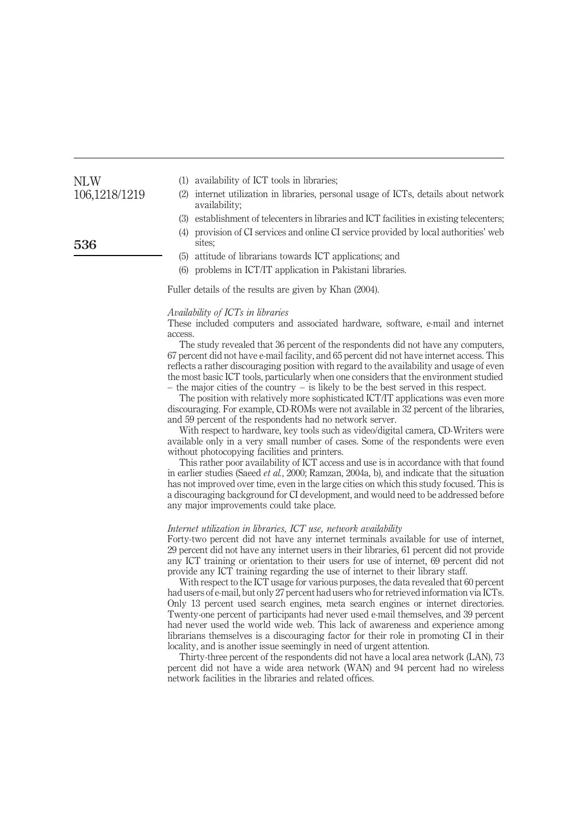## NLW 106,1218/1219

536

- (1) availability of ICT tools in libraries;
- (2) internet utilization in libraries, personal usage of ICTs, details about network availability;
- (3) establishment of telecenters in libraries and ICT facilities in existing telecenters;
- (4) provision of CI services and online CI service provided by local authorities' web sites;
- (5) attitude of librarians towards ICT applications; and
- (6) problems in ICT/IT application in Pakistani libraries.

Fuller details of the results are given by Khan (2004).

#### Availability of ICTs in libraries

These included computers and associated hardware, software, e-mail and internet access.

The study revealed that 36 percent of the respondents did not have any computers, 67 percent did not have e-mail facility, and 65 percent did not have internet access. This reflects a rather discouraging position with regard to the availability and usage of even the most basic ICT tools, particularly when one considers that the environment studied – the major cities of the country – is likely to be the best served in this respect.

The position with relatively more sophisticated ICT/IT applications was even more discouraging. For example, CD-ROMs were not available in 32 percent of the libraries, and 59 percent of the respondents had no network server.

With respect to hardware, key tools such as video/digital camera, CD-Writers were available only in a very small number of cases. Some of the respondents were even without photocopying facilities and printers.

This rather poor availability of ICT access and use is in accordance with that found in earlier studies (Saeed et al., 2000; Ramzan, 2004a, b), and indicate that the situation has not improved over time, even in the large cities on which this study focused. This is a discouraging background for CI development, and would need to be addressed before any major improvements could take place.

### Internet utilization in libraries, ICT use, network availability

Forty-two percent did not have any internet terminals available for use of internet, 29 percent did not have any internet users in their libraries, 61 percent did not provide any ICT training or orientation to their users for use of internet, 69 percent did not provide any ICT training regarding the use of internet to their library staff.

With respect to the ICT usage for various purposes, the data revealed that 60 percent had users of e-mail, but only 27 percent had users who for retrieved information via ICTs. Only 13 percent used search engines, meta search engines or internet directories. Twenty-one percent of participants had never used e-mail themselves, and 39 percent had never used the world wide web. This lack of awareness and experience among librarians themselves is a discouraging factor for their role in promoting CI in their locality, and is another issue seemingly in need of urgent attention.

Thirty-three percent of the respondents did not have a local area network (LAN), 73 percent did not have a wide area network (WAN) and 94 percent had no wireless network facilities in the libraries and related offices.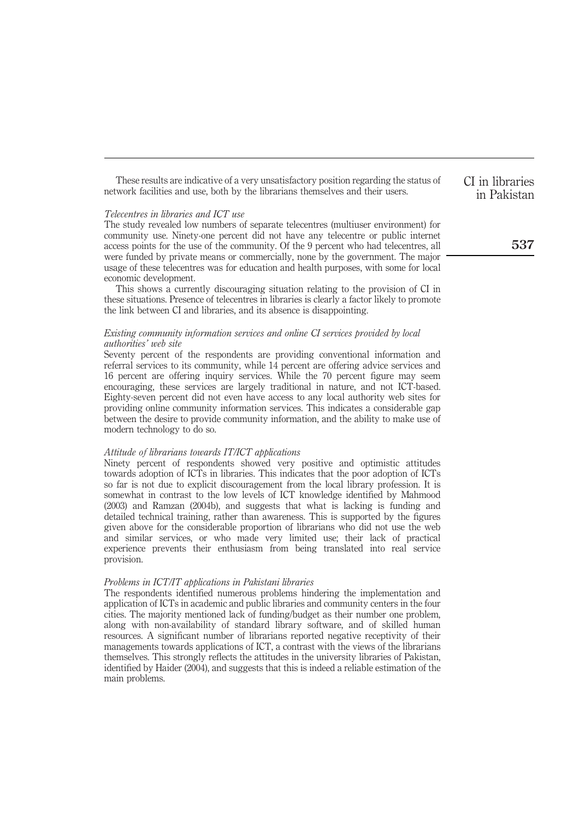These results are indicative of a very unsatisfactory position regarding the status of network facilities and use, both by the librarians themselves and their users.

#### Telecentres in libraries and ICT use

The study revealed low numbers of separate telecentres (multiuser environment) for community use. Ninety-one percent did not have any telecentre or public internet access points for the use of the community. Of the 9 percent who had telecentres, all were funded by private means or commercially, none by the government. The major usage of these telecentres was for education and health purposes, with some for local economic development.

This shows a currently discouraging situation relating to the provision of CI in these situations. Presence of telecentres in libraries is clearly a factor likely to promote the link between CI and libraries, and its absence is disappointing.

#### Existing community information services and online CI services provided by local authorities' web site

Seventy percent of the respondents are providing conventional information and referral services to its community, while 14 percent are offering advice services and 16 percent are offering inquiry services. While the 70 percent figure may seem encouraging, these services are largely traditional in nature, and not ICT-based. Eighty-seven percent did not even have access to any local authority web sites for providing online community information services. This indicates a considerable gap between the desire to provide community information, and the ability to make use of modern technology to do so.

#### Attitude of librarians towards IT/ICT applications

Ninety percent of respondents showed very positive and optimistic attitudes towards adoption of ICTs in libraries. This indicates that the poor adoption of ICTs so far is not due to explicit discouragement from the local library profession. It is somewhat in contrast to the low levels of ICT knowledge identified by Mahmood (2003) and Ramzan (2004b), and suggests that what is lacking is funding and detailed technical training, rather than awareness. This is supported by the figures given above for the considerable proportion of librarians who did not use the web and similar services, or who made very limited use; their lack of practical experience prevents their enthusiasm from being translated into real service provision.

#### Problems in ICT/IT applications in Pakistani libraries

The respondents identified numerous problems hindering the implementation and application of ICTs in academic and public libraries and community centers in the four cities. The majority mentioned lack of funding/budget as their number one problem, along with non-availability of standard library software, and of skilled human resources. A significant number of librarians reported negative receptivity of their managements towards applications of ICT, a contrast with the views of the librarians themselves. This strongly reflects the attitudes in the university libraries of Pakistan, identified by Haider (2004), and suggests that this is indeed a reliable estimation of the main problems.

## CI in libraries in Pakistan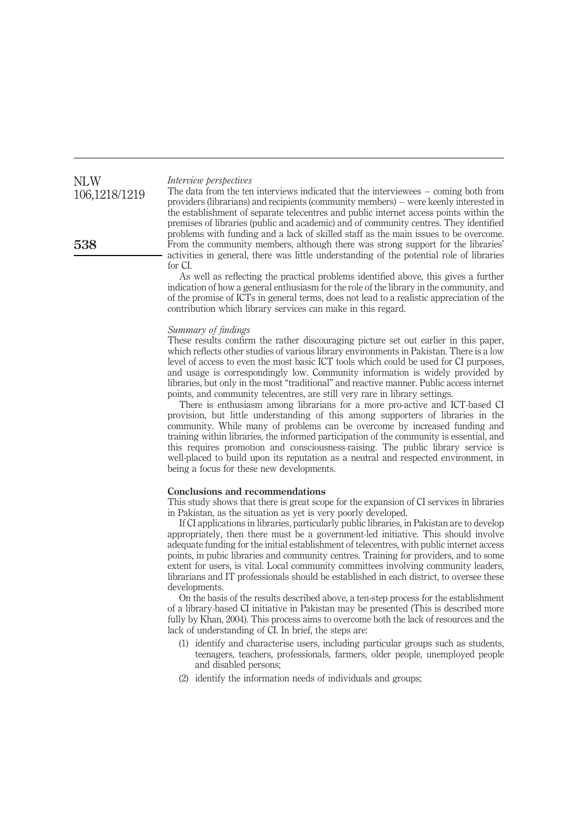## NLW 106,1218/1219

538

#### Interview perspectives

The data from the ten interviews indicated that the interviewees – coming both from providers (librarians) and recipients (community members) – were keenly interested in the establishment of separate telecentres and public internet access points within the premises of libraries (public and academic) and of community centres. They identified problems with funding and a lack of skilled staff as the main issues to be overcome. From the community members, although there was strong support for the libraries' activities in general, there was little understanding of the potential role of libraries for CI.

As well as reflecting the practical problems identified above, this gives a further indication of how a general enthusiasm for the role of the library in the community, and of the promise of ICTs in general terms, does not lead to a realistic appreciation of the contribution which library services can make in this regard.

#### Summary of findings

These results confirm the rather discouraging picture set out earlier in this paper, which reflects other studies of various library environments in Pakistan. There is a low level of access to even the most basic ICT tools which could be used for CI purposes, and usage is correspondingly low. Community information is widely provided by libraries, but only in the most "traditional" and reactive manner. Public access internet points, and community telecentres, are still very rare in library settings.

There is enthusiasm among librarians for a more pro-active and ICT-based CI provision, but little understanding of this among supporters of libraries in the community. While many of problems can be overcome by increased funding and training within libraries, the informed participation of the community is essential, and this requires promotion and consciousness-raising. The public library service is well-placed to build upon its reputation as a neutral and respected environment, in being a focus for these new developments.

#### Conclusions and recommendations

This study shows that there is great scope for the expansion of CI services in libraries in Pakistan, as the situation as yet is very poorly developed.

If CI applications in libraries, particularly public libraries, in Pakistan are to develop appropriately, then there must be a government-led initiative. This should involve adequate funding for the initial establishment of telecentres, with public internet access points, in pubic libraries and community centres. Training for providers, and to some extent for users, is vital. Local community committees involving community leaders, librarians and IT professionals should be established in each district, to oversee these developments.

On the basis of the results described above, a ten-step process for the establishment of a library-based CI initiative in Pakistan may be presented (This is described more fully by Khan, 2004). This process aims to overcome both the lack of resources and the lack of understanding of CI. In brief, the steps are:

- (1) identify and characterise users, including particular groups such as students, teenagers, teachers, professionals, farmers, older people, unemployed people and disabled persons;
- (2) identify the information needs of individuals and groups;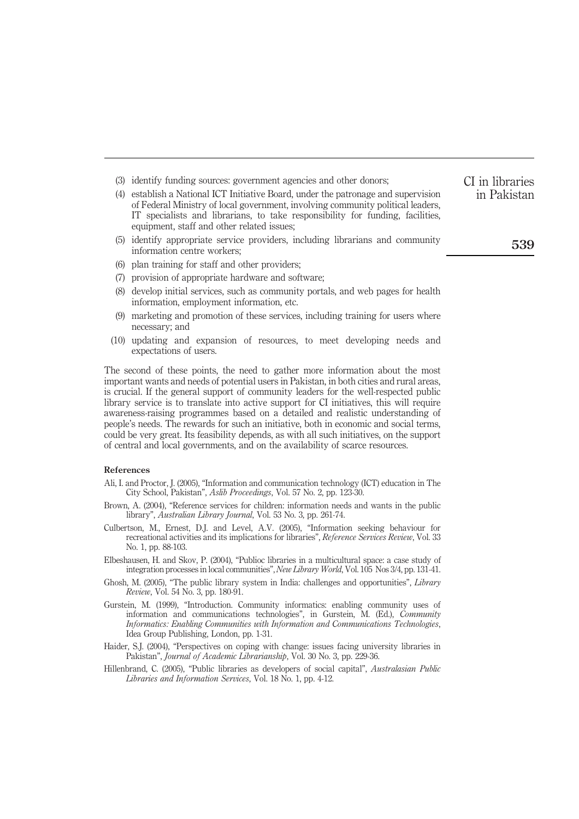- (3) identify funding sources: government agencies and other donors;
- (4) establish a National ICT Initiative Board, under the patronage and supervision of Federal Ministry of local government, involving community political leaders, IT specialists and librarians, to take responsibility for funding, facilities, equipment, staff and other related issues;
- (5) identify appropriate service providers, including librarians and community information centre workers;
- (6) plan training for staff and other providers;
- (7) provision of appropriate hardware and software;
- (8) develop initial services, such as community portals, and web pages for health information, employment information, etc.
- (9) marketing and promotion of these services, including training for users where necessary; and
- (10) updating and expansion of resources, to meet developing needs and expectations of users.

The second of these points, the need to gather more information about the most important wants and needs of potential users in Pakistan, in both cities and rural areas, is crucial. If the general support of community leaders for the well-respected public library service is to translate into active support for CI initiatives, this will require awareness-raising programmes based on a detailed and realistic understanding of people's needs. The rewards for such an initiative, both in economic and social terms, could be very great. Its feasibility depends, as with all such initiatives, on the support of central and local governments, and on the availability of scarce resources.

#### References

- Ali, I. and Proctor, J. (2005), "Information and communication technology (ICT) education in The City School, Pakistan", Aslib Proceedings, Vol. 57 No. 2, pp. 123-30.
- Brown, A. (2004), "Reference services for children: information needs and wants in the public library", Australian Library Journal, Vol. 53 No. 3, pp. 261-74.
- Culbertson, M., Ernest, D.J. and Level, A.V. (2005), "Information seeking behaviour for recreational activities and its implications for libraries", Reference Services Review, Vol. 33 No. 1, pp. 88-103.
- Elbeshausen, H. and Skov, P. (2004), "Publioc libraries in a multicultural space: a case study of integration processes in local communities", New Library World, Vol. 105 Nos 3/4, pp. 131-41.
- Ghosh, M. (2005), "The public library system in India: challenges and opportunities", Library Review, Vol. 54 No. 3, pp. 180-91.
- Gurstein, M. (1999), "Introduction. Community informatics: enabling community uses of information and communications technologies", in Gurstein, M. (Ed.), Community Informatics: Enabling Communities with Information and Communications Technologies, Idea Group Publishing, London, pp. 1-31.
- Haider, S.J. (2004), "Perspectives on coping with change: issues facing university libraries in Pakistan", Journal of Academic Librarianship, Vol. 30 No. 3, pp. 229-36.
- Hillenbrand, C. (2005), "Public libraries as developers of social capital", Australasian Public Libraries and Information Services, Vol. 18 No. 1, pp. 4-12.

CI in libraries in Pakistan